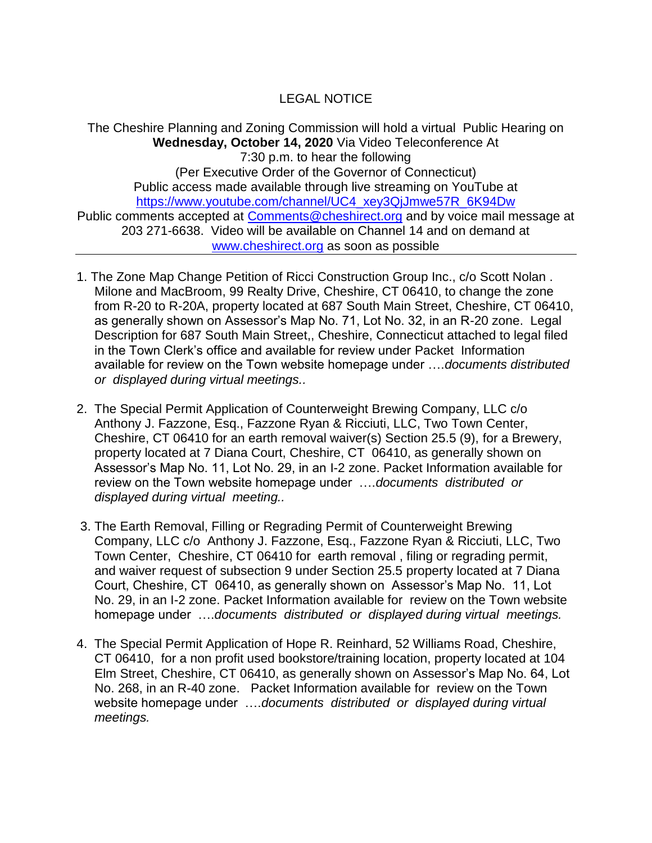## LEGAL NOTICE

The Cheshire Planning and Zoning Commission will hold a virtual Public Hearing on **Wednesday, October 14, 2020** Via Video Teleconference At 7:30 p.m. to hear the following (Per Executive Order of the Governor of Connecticut) Public access made available through live streaming on YouTube at [https://www.youtube.com/channel/UC4\\_xey3QjJmwe57R\\_6K94Dw](https://www.youtube.com/channel/UC4_xey3QjJmwe57R_6K94Dw) Public comments accepted at [Comments@cheshirect.org](mailto:Comments@cheshirect.org) and by voice mail message at 203 271-6638. Video will be available on Channel 14 and on demand at [www.cheshirect.org](http://www.cheshirect.org/) as soon as possible

- 1. The Zone Map Change Petition of Ricci Construction Group Inc., c/o Scott Nolan . Milone and MacBroom, 99 Realty Drive, Cheshire, CT 06410, to change the zone from R-20 to R-20A, property located at 687 South Main Street, Cheshire, CT 06410, as generally shown on Assessor's Map No. 71, Lot No. 32, in an R-20 zone. Legal Description for 687 South Main Street,, Cheshire, Connecticut attached to legal filed in the Town Clerk's office and available for review under Packet Information available for review on the Town website homepage under ….*documents distributed or displayed during virtual meetings..*
- 2. The Special Permit Application of Counterweight Brewing Company, LLC c/o Anthony J. Fazzone, Esq., Fazzone Ryan & Ricciuti, LLC, Two Town Center, Cheshire, CT 06410 for an earth removal waiver(s) Section 25.5 (9), for a Brewery, property located at 7 Diana Court, Cheshire, CT 06410, as generally shown on Assessor's Map No. 11, Lot No. 29, in an I-2 zone. Packet Information available for review on the Town website homepage under ….*documents distributed or displayed during virtual meeting..*
- 3. The Earth Removal, Filling or Regrading Permit of Counterweight Brewing Company, LLC c/o Anthony J. Fazzone, Esq., Fazzone Ryan & Ricciuti, LLC, Two Town Center, Cheshire, CT 06410 for earth removal , filing or regrading permit, and waiver request of subsection 9 under Section 25.5 property located at 7 Diana Court, Cheshire, CT 06410, as generally shown on Assessor's Map No. 11, Lot No. 29, in an I-2 zone. Packet Information available for review on the Town website homepage under ….*documents distributed or displayed during virtual meetings.*
- 4. The Special Permit Application of Hope R. Reinhard, 52 Williams Road, Cheshire, CT 06410, for a non profit used bookstore/training location, property located at 104 Elm Street, Cheshire, CT 06410, as generally shown on Assessor's Map No. 64, Lot No. 268, in an R-40 zone. Packet Information available for review on the Town website homepage under ….*documents distributed or displayed during virtual meetings.*